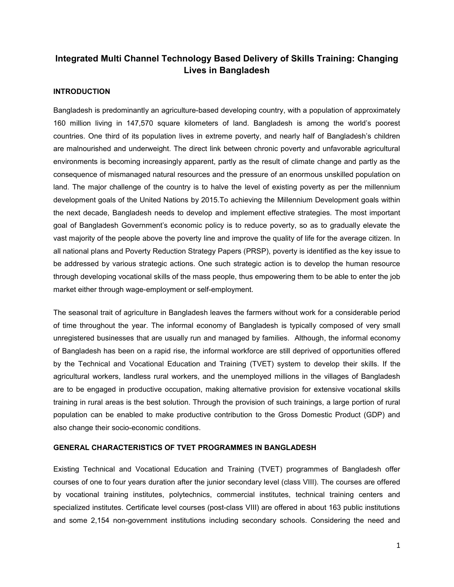# **Integrated Multi Channel Technology Based Delivery of Skills Training: Changing Lives in Bangladesh**

## **INTRODUCTION**

Bangladesh is predominantly an agriculture-based developing country, with a population of approximately 160 million living in 147,570 square kilometers of land. Bangladesh is among the world's poorest countries. One third of its population lives in extreme poverty, and nearly half of Bangladesh's children are malnourished and underweight. The direct link between chronic poverty and unfavorable agricultural environments is becoming increasingly apparent, partly as the result of climate change and partly as the consequence of mismanaged natural resources and the pressure of an enormous unskilled population on land. The major challenge of the country is to halve the level of existing poverty as per the millennium development goals of the United Nations by 2015.To achieving the Millennium Development goals within the next decade, Bangladesh needs to develop and implement effective strategies. The most important goal of Bangladesh Government's economic policy is to reduce poverty, so as to gradually elevate the vast majority of the people above the poverty line and improve the quality of life for the average citizen. In all national plans and Poverty Reduction Strategy Papers (PRSP), poverty is identified as the key issue to be addressed by various strategic actions. One such strategic action is to develop the human resource through developing vocational skills of the mass people, thus empowering them to be able to enter the job market either through wage-employment or self-employment.

The seasonal trait of agriculture in Bangladesh leaves the farmers without work for a considerable period of time throughout the year. The informal economy of Bangladesh is typically composed of very small unregistered businesses that are usually run and managed by families. Although, the informal economy of Bangladesh has been on a rapid rise, the informal workforce are still deprived of opportunities offered by the Technical and Vocational Education and Training (TVET) system to develop their skills. If the agricultural workers, landless rural workers, and the unemployed millions in the villages of Bangladesh are to be engaged in productive occupation, making alternative provision for extensive vocational skills training in rural areas is the best solution. Through the provision of such trainings, a large portion of rural population can be enabled to make productive contribution to the Gross Domestic Product (GDP) and also change their socio-economic conditions.

#### **GENERAL CHARACTERISTICS OF TVET PROGRAMMES IN BANGLADESH**

Existing Technical and Vocational Education and Training (TVET) programmes of Bangladesh offer courses of one to four years duration after the junior secondary level (class VIII). The courses are offered by vocational training institutes, polytechnics, commercial institutes, technical training centers and specialized institutes. Certificate level courses (post-class VIII) are offered in about 163 public institutions and some 2,154 non-government institutions including secondary schools. Considering the need and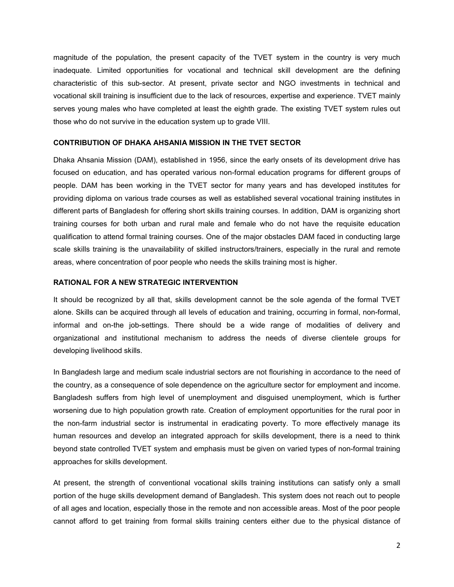magnitude of the population, the present capacity of the TVET system in the country is very much inadequate. Limited opportunities for vocational and technical skill development are the defining characteristic of this sub-sector. At present, private sector and NGO investments in technical and vocational skill training is insufficient due to the lack of resources, expertise and experience. TVET mainly serves young males who have completed at least the eighth grade. The existing TVET system rules out those who do not survive in the education system up to grade VIII.

#### **CONTRIBUTION OF DHAKA AHSANIA MISSION IN THE TVET SECTOR**

Dhaka Ahsania Mission (DAM), established in 1956, since the early onsets of its development drive has focused on education, and has operated various non-formal education programs for different groups of people. DAM has been working in the TVET sector for many years and has developed institutes for providing diploma on various trade courses as well as established several vocational training institutes in different parts of Bangladesh for offering short skills training courses. In addition, DAM is organizing short training courses for both urban and rural male and female who do not have the requisite education qualification to attend formal training courses. One of the major obstacles DAM faced in conducting large scale skills training is the unavailability of skilled instructors/trainers, especially in the rural and remote areas, where concentration of poor people who needs the skills training most is higher.

## **RATIONAL FOR A NEW STRATEGIC INTERVENTION**

It should be recognized by all that, skills development cannot be the sole agenda of the formal TVET alone. Skills can be acquired through all levels of education and training, occurring in formal, non-formal, informal and on-the job-settings. There should be a wide range of modalities of delivery and organizational and institutional mechanism to address the needs of diverse clientele groups for developing livelihood skills.

In Bangladesh large and medium scale industrial sectors are not flourishing in accordance to the need of the country, as a consequence of sole dependence on the agriculture sector for employment and income. Bangladesh suffers from high level of unemployment and disguised unemployment, which is further worsening due to high population growth rate. Creation of employment opportunities for the rural poor in the non-farm industrial sector is instrumental in eradicating poverty. To more effectively manage its human resources and develop an integrated approach for skills development, there is a need to think beyond state controlled TVET system and emphasis must be given on varied types of non-formal training approaches for skills development.

At present, the strength of conventional vocational skills training institutions can satisfy only a small portion of the huge skills development demand of Bangladesh. This system does not reach out to people of all ages and location, especially those in the remote and non accessible areas. Most of the poor people cannot afford to get training from formal skills training centers either due to the physical distance of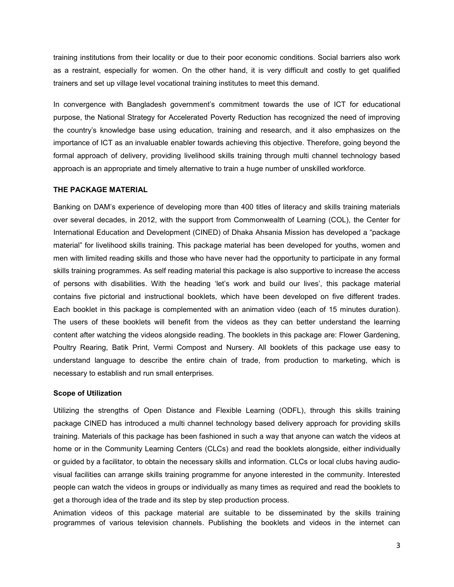training institutions from their locality or due to their poor economic conditions. Social barriers also work as a restraint, especially for women. On the other hand, it is very difficult and costly to get qualified trainers and set up village level vocational training institutes to meet this demand.

In convergence with Bangladesh government's commitment towards the use of ICT for educational purpose, the National Strategy for Accelerated Poverty Reduction has recognized the need of improving the country's knowledge base using education, training and research, and it also emphasizes on the importance of ICT as an invaluable enabler towards achieving this objective. Therefore, going beyond the formal approach of delivery, providing livelihood skills training through multi channel technology based approach is an appropriate and timely alternative to train a huge number of unskilled workforce.

#### **THE PACKAGE MATERIAL**

Banking on DAM's experience of developing more than 400 titles of literacy and skills training materials over several decades, in 2012, with the support from Commonwealth of Learning (COL), the Center for International Education and Development (CINED) of Dhaka Ahsania Mission has developed a "package material" for livelihood skills training. This package material has been developed for youths, women and men with limited reading skills and those who have never had the opportunity to participate in any formal skills training programmes. As self reading material this package is also supportive to increase the access of persons with disabilities. With the heading 'let's work and build our lives', this package material contains five pictorial and instructional booklets, which have been developed on five different trades. Each booklet in this package is complemented with an animation video (each of 15 minutes duration). The users of these booklets will benefit from the videos as they can better understand the learning content after watching the videos alongside reading. The booklets in this package are: Flower Gardening, Poultry Rearing, Batik Print, Vermi Compost and Nursery. All booklets of this package use easy to understand language to describe the entire chain of trade, from production to marketing, which is necessary to establish and run small enterprises.

#### **Scope of Utilization**

Utilizing the strengths of Open Distance and Flexible Learning (ODFL), through this skills training package CINED has introduced a multi channel technology based delivery approach for providing skills training. Materials of this package has been fashioned in such a way that anyone can watch the videos at home or in the Community Learning Centers (CLCs) and read the booklets alongside, either individually or guided by a facilitator, to obtain the necessary skills and information. CLCs or local clubs having audiovisual facilities can arrange skills training programme for anyone interested in the community. Interested people can watch the videos in groups or individually as many times as required and read the booklets to get a thorough idea of the trade and its step by step production process.

Animation videos of this package material are suitable to be disseminated by the skills training programmes of various television channels. Publishing the booklets and videos in the internet can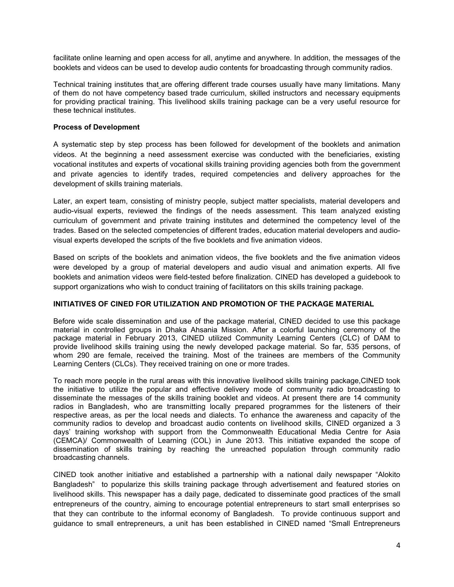facilitate online learning and open access for all, anytime and anywhere. In addition, the messages of the booklets and videos can be used to develop audio contents for broadcasting through community radios.

Technical training institutes that are offering different trade courses usually have many limitations. Many of them do not have competency based trade curriculum, skilled instructors and necessary equipments for providing practical training. This livelihood skills training package can be a very useful resource for these technical institutes.

### **Process of Development**

A systematic step by step process has been followed for development of the booklets and animation videos. At the beginning a need assessment exercise was conducted with the beneficiaries, existing vocational institutes and experts of vocational skills training providing agencies both from the government and private agencies to identify trades, required competencies and delivery approaches for the development of skills training materials.

Later, an expert team, consisting of ministry people, subject matter specialists, material developers and audio-visual experts, reviewed the findings of the needs assessment. This team analyzed existing curriculum of government and private training institutes and determined the competency level of the trades. Based on the selected competencies of different trades, education material developers and audiovisual experts developed the scripts of the five booklets and five animation videos.

Based on scripts of the booklets and animation videos, the five booklets and the five animation videos were developed by a group of material developers and audio visual and animation experts. All five booklets and animation videos were field-tested before finalization. CINED has developed a guidebook to support organizations who wish to conduct training of facilitators on this skills training package.

## **INITIATIVES OF CINED FOR UTILIZATION AND PROMOTION OF THE PACKAGE MATERIAL**

Before wide scale dissemination and use of the package material, CINED decided to use this package material in controlled groups in Dhaka Ahsania Mission. After a colorful launching ceremony of the package material in February 2013, CINED utilized Community Learning Centers (CLC) of DAM to provide livelihood skills training using the newly developed package material. So far, 535 persons, of whom 290 are female, received the training. Most of the trainees are members of the Community Learning Centers (CLCs). They received training on one or more trades.

To reach more people in the rural areas with this innovative livelihood skills training package,CINED took the initiative to utilize the popular and effective delivery mode of community radio broadcasting to disseminate the messages of the skills training booklet and videos. At present there are 14 community radios in Bangladesh, who are transmitting locally prepared programmes for the listeners of their respective areas, as per the local needs and dialects. To enhance the awareness and capacity of the community radios to develop and broadcast audio contents on livelihood skills, CINED organized a 3 days' training workshop with support from the Commonwealth Educational Media Centre for Asia (CEMCA)/ Commonwealth of Learning (COL) in June 2013. This initiative expanded the scope of dissemination of skills training by reaching the unreached population through community radio broadcasting channels.

CINED took another initiative and established a partnership with a national daily newspaper "Alokito Bangladesh" to popularize this skills training package through advertisement and featured stories on livelihood skills. This newspaper has a daily page, dedicated to disseminate good practices of the small entrepreneurs of the country, aiming to encourage potential entrepreneurs to start small enterprises so that they can contribute to the informal economy of Bangladesh. To provide continuous support and guidance to small entrepreneurs, a unit has been established in CINED named "Small Entrepreneurs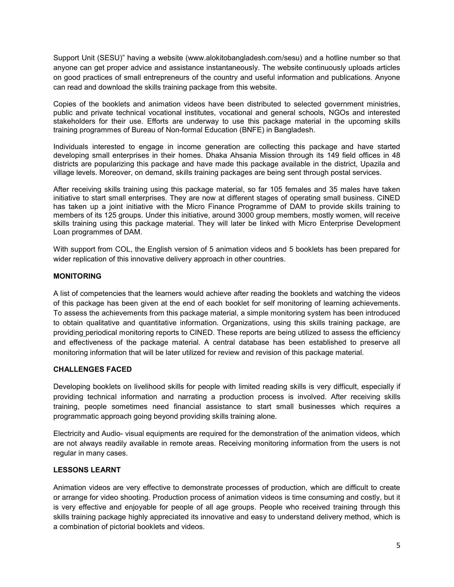Support Unit (SESU)" having a website (www.alokitobangladesh.com/sesu) and a hotline number so that anyone can get proper advice and assistance instantaneously. The website continuously uploads articles on good practices of small entrepreneurs of the country and useful information and publications. Anyone can read and download the skills training package from this website.

Copies of the booklets and animation videos have been distributed to selected government ministries, public and private technical vocational institutes, vocational and general schools, NGOs and interested stakeholders for their use. Efforts are underway to use this package material in the upcoming skills training programmes of Bureau of Non-formal Education (BNFE) in Bangladesh.

Individuals interested to engage in income generation are collecting this package and have started developing small enterprises in their homes. Dhaka Ahsania Mission through its 149 field offices in 48 districts are popularizing this package and have made this package available in the district, Upazila and village levels. Moreover, on demand, skills training packages are being sent through postal services.

After receiving skills training using this package material, so far 105 females and 35 males have taken initiative to start small enterprises. They are now at different stages of operating small business. CINED has taken up a joint initiative with the Micro Finance Programme of DAM to provide skills training to members of its 125 groups. Under this initiative, around 3000 group members, mostly women, will receive skills training using this package material. They will later be linked with Micro Enterprise Development Loan programmes of DAM.

With support from COL, the English version of 5 animation videos and 5 booklets has been prepared for wider replication of this innovative delivery approach in other countries.

# **MONITORING**

A list of competencies that the learners would achieve after reading the booklets and watching the videos of this package has been given at the end of each booklet for self monitoring of learning achievements. To assess the achievements from this package material, a simple monitoring system has been introduced to obtain qualitative and quantitative information. Organizations, using this skills training package, are providing periodical monitoring reports to CINED. These reports are being utilized to assess the efficiency and effectiveness of the package material. A central database has been established to preserve all monitoring information that will be later utilized for review and revision of this package material.

## **CHALLENGES FACED**

Developing booklets on livelihood skills for people with limited reading skills is very difficult, especially if providing technical information and narrating a production process is involved. After receiving skills training, people sometimes need financial assistance to start small businesses which requires a programmatic approach going beyond providing skills training alone.

Electricity and Audio- visual equipments are required for the demonstration of the animation videos, which are not always readily available in remote areas. Receiving monitoring information from the users is not regular in many cases.

## **LESSONS LEARNT**

Animation videos are very effective to demonstrate processes of production, which are difficult to create or arrange for video shooting. Production process of animation videos is time consuming and costly, but it is very effective and enjoyable for people of all age groups. People who received training through this skills training package highly appreciated its innovative and easy to understand delivery method, which is a combination of pictorial booklets and videos.